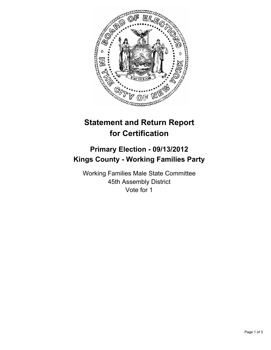

# **Statement and Return Report for Certification**

## **Primary Election - 09/13/2012 Kings County - Working Families Party**

Working Families Male State Committee 45th Assembly District Vote for 1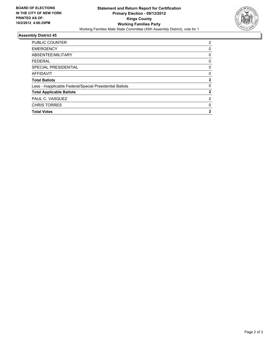

### **Assembly District 45**

| <b>PUBLIC COUNTER</b>                                    | 2            |
|----------------------------------------------------------|--------------|
| <b>EMERGENCY</b>                                         | 0            |
| ABSENTEE/MILITARY                                        | 0            |
| <b>FEDERAL</b>                                           | 0            |
| SPECIAL PRESIDENTIAL                                     | 0            |
| <b>AFFIDAVIT</b>                                         | 0            |
| <b>Total Ballots</b>                                     | $\mathbf{2}$ |
| Less - Inapplicable Federal/Special Presidential Ballots | 0            |
| <b>Total Applicable Ballots</b>                          | $\mathbf{2}$ |
| PAUL C. VASQUEZ                                          | 2            |
| <b>CHRIS TORRES</b>                                      | 0            |
| <b>Total Votes</b>                                       | $\mathbf{2}$ |